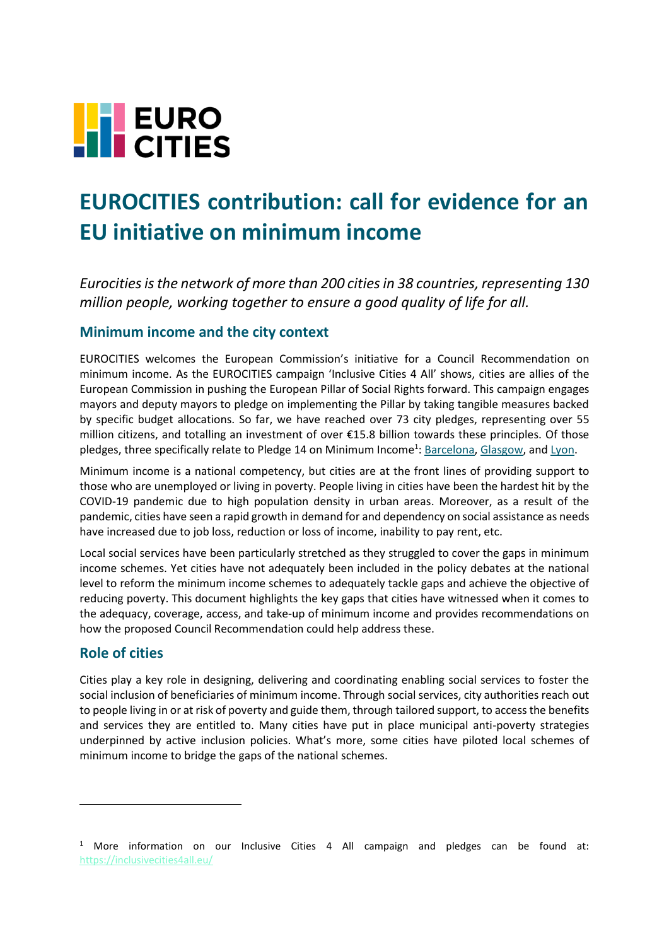

# **EUROCITIES contribution: call for evidence for an EU initiative on minimum income**

Eurocities is the network of more than 200 cities in 38 countries, representing 130 *million people, working together to ensure a good quality of life for all.* 

#### **Minimum income and the city context**

EUROCITIES welcomes the European Commission's initiative for a Council Recommendation on minimum income. As the EUROCITIES campaign 'Inclusive Cities 4 All' shows, cities are allies of the European Commission in pushing the European Pillar of Social Rights forward. This campaign engages mayors and deputy mayors to pledge on implementing the Pillar by taking tangible measures backed by specific budget allocations. So far, we have reached over 73 city pledges, representing over 55 million citizens, and totalling an investment of over €15.8 billion towards these principles. Of those pledges, three specifically relate to Pledge 14 on Minimum Income<sup>1</sup>: <u>Barcelona</u>, [Glasgow,](https://inclusivecities4all.eu/pledges/glasgow/) and [Lyon.](https://inclusivecities4all.eu/pledges/lyon/)

Minimum income is a national competency, but cities are at the front lines of providing support to those who are unemployed or living in poverty. People living in cities have been the hardest hit by the COVID-19 pandemic due to high population density in urban areas. Moreover, as a result of the pandemic, cities have seen a rapid growth in demand for and dependency on social assistance as needs have increased due to job loss, reduction or loss of income, inability to pay rent, etc.

Local social services have been particularly stretched as they struggled to cover the gaps in minimum income schemes. Yet cities have not adequately been included in the policy debates at the national level to reform the minimum income schemes to adequately tackle gaps and achieve the objective of reducing poverty. This document highlights the key gaps that cities have witnessed when it comes to the adequacy, coverage, access, and take-up of minimum income and provides recommendations on how the proposed Council Recommendation could help address these.

#### **Role of cities**

Cities play a key role in designing, delivering and coordinating enabling social services to foster the social inclusion of beneficiaries of minimum income. Through social services, city authorities reach out to people living in or at risk of poverty and guide them, through tailored support, to access the benefits and services they are entitled to. Many cities have put in place municipal anti-poverty strategies underpinned by active inclusion policies. What's more, some cities have piloted local schemes of minimum income to bridge the gaps of the national schemes.

<sup>&</sup>lt;sup>1</sup> More information on our Inclusive Cities 4 All campaign and pledges can be found at: <https://inclusivecities4all.eu/>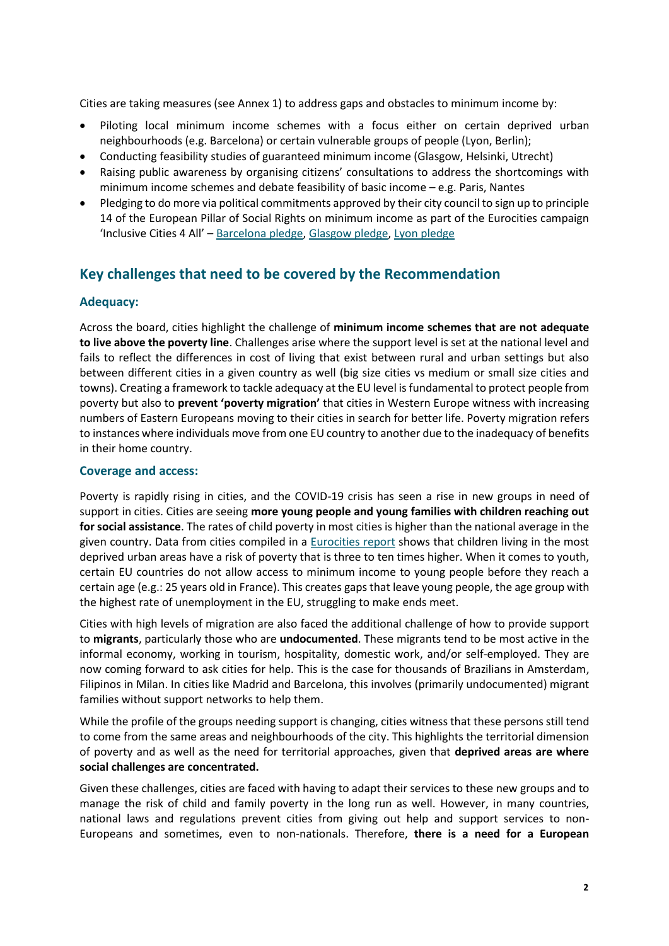Cities are taking measures (see Annex 1) to address gaps and obstacles to minimum income by:

- Piloting local minimum income schemes with a focus either on certain deprived urban neighbourhoods (e.g. Barcelona) or certain vulnerable groups of people (Lyon, Berlin);
- Conducting feasibility studies of guaranteed minimum income (Glasgow, Helsinki, Utrecht)
- Raising public awareness by organising citizens' consultations to address the shortcomings with minimum income schemes and debate feasibility of basic income – e.g. Paris, Nantes
- Pledging to do more via political commitments approved by their city council to sign up to principle 14 of the European Pillar of Social Rights on minimum income as part of the Eurocities campaign 'Inclusive Cities 4 All' – [Barcelona pledge,](https://inclusivecities4all.eu/wp-content/uploads/2019/10/Barcelona-pledge-Principle-14-1.pdf) [Glasgow pledge,](https://inclusivecities4all.eu/wp-content/uploads/2020/09/Glasgow-pledge-minimum-income-2.pdf) [Lyon pledge](https://inclusivecities4all.eu/wp-content/uploads/2021/03/Pledge_Lyon-15-March-2021.pdf)

## **Key challenges that need to be covered by the Recommendation**

#### **Adequacy:**

Across the board, cities highlight the challenge of **minimum income schemes that are not adequate to live above the poverty line**. Challenges arise where the support level is set at the national level and fails to reflect the differences in cost of living that exist between rural and urban settings but also between different cities in a given country as well (big size cities vs medium or small size cities and towns). Creating a framework to tackle adequacy at the EU level is fundamental to protect people from poverty but also to **prevent 'poverty migration'** that cities in Western Europe witness with increasing numbers of Eastern Europeans moving to their cities in search for better life. Poverty migration refers to instances where individuals move from one EU country to another due to the inadequacy of benefits in their home country.

#### **Coverage and access:**

Poverty is rapidly rising in cities, and the COVID-19 crisis has seen a rise in new groups in need of support in cities. Cities are seeing **more young people and young families with children reaching out for social assistance**. The rates of child poverty in most cities is higher than the national average in the given country. Data from cities compiled in a [Eurocities report](https://eurocities.eu/wp-content/uploads/2021/01/Eurocities-report-on-fighting-child-poverty-in-European-cities_Dec-2020.pdf) shows that children living in the most deprived urban areas have a risk of poverty that is three to ten times higher. When it comes to youth, certain EU countries do not allow access to minimum income to young people before they reach a certain age (e.g.: 25 years old in France). This creates gaps that leave young people, the age group with the highest rate of unemployment in the EU, struggling to make ends meet.

Cities with high levels of migration are also faced the additional challenge of how to provide support to **migrants**, particularly those who are **undocumented**. These migrants tend to be most active in the informal economy, working in tourism, hospitality, domestic work, and/or self-employed. They are now coming forward to ask cities for help. This is the case for thousands of Brazilians in Amsterdam, Filipinos in Milan. In cities like Madrid and Barcelona, this involves (primarily undocumented) migrant families without support networks to help them.

While the profile of the groups needing support is changing, cities witness that these persons still tend to come from the same areas and neighbourhoods of the city. This highlights the territorial dimension of poverty and as well as the need for territorial approaches, given that **deprived areas are where social challenges are concentrated.**

Given these challenges, cities are faced with having to adapt their services to these new groups and to manage the risk of child and family poverty in the long run as well. However, in many countries, national laws and regulations prevent cities from giving out help and support services to non-Europeans and sometimes, even to non-nationals. Therefore, **there is a need for a European**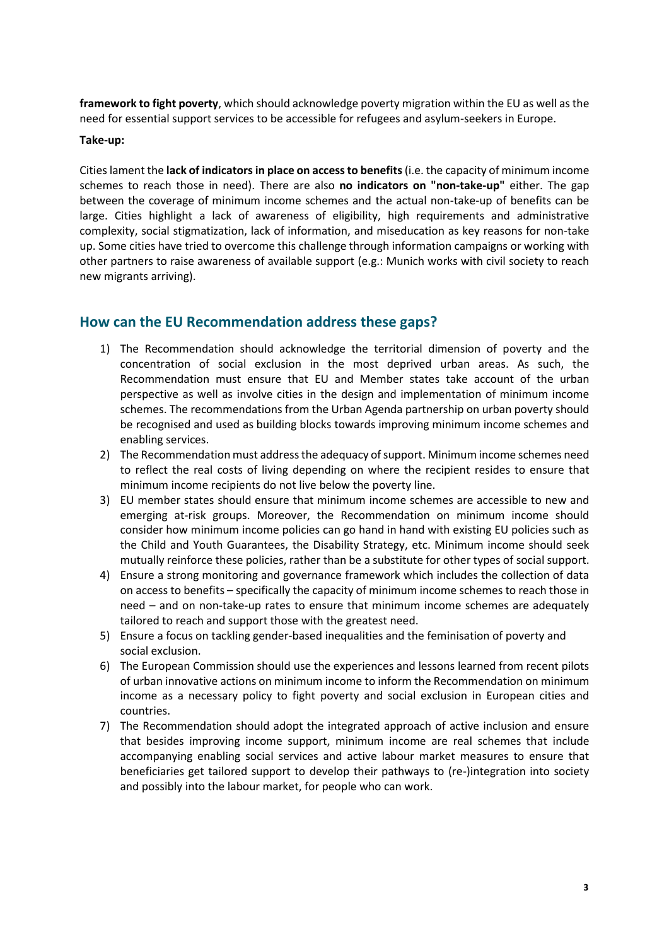**framework to fight poverty**, which should acknowledge poverty migration within the EU as well as the need for essential support services to be accessible for refugees and asylum-seekers in Europe.

#### **Take-up:**

Cities lament the **lack of indicators in place on access to benefits**(i.e. the capacity of minimum income schemes to reach those in need). There are also **no indicators on "non-take-up"** either. The gap between the coverage of minimum income schemes and the actual non-take-up of benefits can be large. Cities highlight a lack of awareness of eligibility, high requirements and administrative complexity, social stigmatization, lack of information, and miseducation as key reasons for non-take up. Some cities have tried to overcome this challenge through information campaigns or working with other partners to raise awareness of available support (e.g.: Munich works with civil society to reach new migrants arriving).

#### **How can the EU Recommendation address these gaps?**

- 1) The Recommendation should acknowledge the territorial dimension of poverty and the concentration of social exclusion in the most deprived urban areas. As such, the Recommendation must ensure that EU and Member states take account of the urban perspective as well as involve cities in the design and implementation of minimum income schemes. The recommendations from the Urban Agenda partnership on urban poverty should be recognised and used as building blocks towards improving minimum income schemes and enabling services.
- 2) The Recommendation must address the adequacy of support. Minimum income schemes need to reflect the real costs of living depending on where the recipient resides to ensure that minimum income recipients do not live below the poverty line.
- 3) EU member states should ensure that minimum income schemes are accessible to new and emerging at-risk groups. Moreover, the Recommendation on minimum income should consider how minimum income policies can go hand in hand with existing EU policies such as the Child and Youth Guarantees, the Disability Strategy, etc. Minimum income should seek mutually reinforce these policies, rather than be a substitute for other types of social support.
- 4) Ensure a strong monitoring and governance framework which includes the collection of data on access to benefits – specifically the capacity of minimum income schemes to reach those in need – and on non-take-up rates to ensure that minimum income schemes are adequately tailored to reach and support those with the greatest need.
- 5) Ensure a focus on tackling gender-based inequalities and the feminisation of poverty and social exclusion.
- 6) The European Commission should use the experiences and lessons learned from recent pilots of urban innovative actions on minimum income to inform the Recommendation on minimum income as a necessary policy to fight poverty and social exclusion in European cities and countries.
- 7) The Recommendation should adopt the integrated approach of active inclusion and ensure that besides improving income support, minimum income are real schemes that include accompanying enabling social services and active labour market measures to ensure that beneficiaries get tailored support to develop their pathways to (re-)integration into society and possibly into the labour market, for people who can work.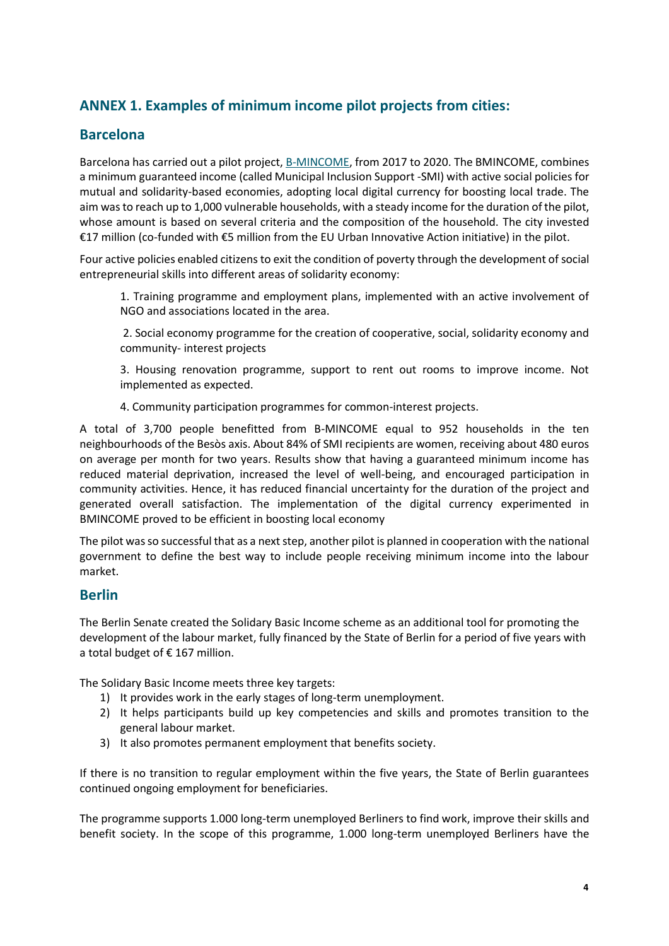## **ANNEX 1. Examples of minimum income pilot projects from cities:**

### **Barcelona**

Barcelona has carried out a pilot project[, B-MINCOME,](https://uia-initiative.eu/en/uia-cities/barcelona) from 2017 to 2020. The BMINCOME, combines a minimum guaranteed income (called Municipal Inclusion Support -SMI) with active social policies for mutual and solidarity-based economies, adopting local digital currency for boosting local trade. The aim was to reach up to 1,000 vulnerable households, with a steady income for the duration of the pilot, whose amount is based on several criteria and the composition of the household. The city invested €17 million (co-funded with €5 million from the EU Urban Innovative Action initiative) in the pilot.

Four active policies enabled citizens to exit the condition of poverty through the development of social entrepreneurial skills into different areas of solidarity economy:

1. Training programme and employment plans, implemented with an active involvement of NGO and associations located in the area.

2. Social economy programme for the creation of cooperative, social, solidarity economy and community- interest projects

3. Housing renovation programme, support to rent out rooms to improve income. Not implemented as expected.

4. Community participation programmes for common-interest projects.

A total of 3,700 people benefitted from B-MINCOME equal to 952 households in the ten neighbourhoods of the Besòs axis. About 84% of SMI recipients are women, receiving about 480 euros on average per month for two years. Results show that having a guaranteed minimum income has reduced material deprivation, increased the level of well-being, and encouraged participation in community activities. Hence, it has reduced financial uncertainty for the duration of the project and generated overall satisfaction. The implementation of the digital currency experimented in BMINCOME proved to be efficient in boosting local economy

The pilot was so successful that as a next step, another pilot is planned in cooperation with the national government to define the best way to include people receiving minimum income into the labour market.

#### **Berlin**

The Berlin Senate created the Solidary Basic Income scheme as an additional tool for promoting the development of the labour market, fully financed by the State of Berlin for a period of five years with a total budget of € 167 million.

The Solidary Basic Income meets three key targets:

- 1) It provides work in the early stages of long-term unemployment.
- 2) It helps participants build up key competencies and skills and promotes transition to the general labour market.
- 3) It also promotes permanent employment that benefits society.

If there is no transition to regular employment within the five years, the State of Berlin guarantees continued ongoing employment for beneficiaries.

The programme supports 1.000 long-term unemployed Berliners to find work, improve their skills and benefit society. In the scope of this programme, 1.000 long-term unemployed Berliners have the